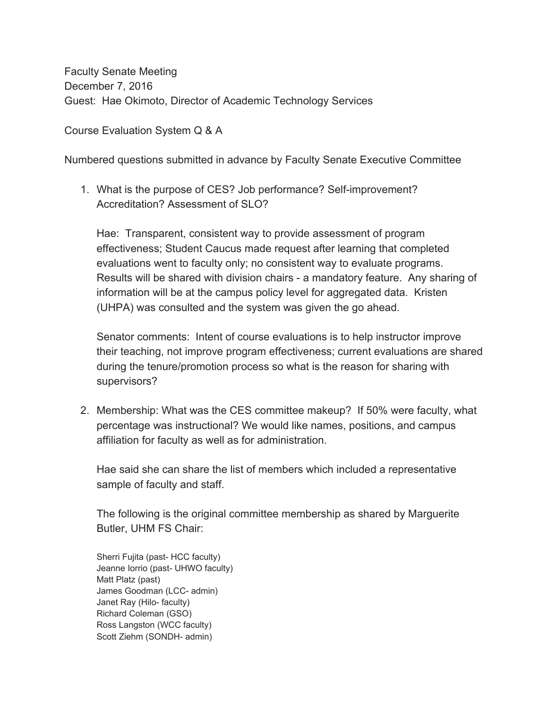Faculty Senate Meeting December 7, 2016 Guest: Hae Okimoto, Director of Academic Technology Services

Course Evaluation System Q & A

Numbered questions submitted in advance by Faculty Senate Executive Committee

1. What is the purpose of CES? Job performance? Self-improvement? Accreditation? Assessment of SLO?

Hae: Transparent, consistent way to provide assessment of program effectiveness; Student Caucus made request after learning that completed evaluations went to faculty only; no consistent way to evaluate programs. Results will be shared with division chairs - a mandatory feature. Any sharing of information will be at the campus policy level for aggregated data. Kristen (UHPA) was consulted and the system was given the go ahead.

Senator comments: Intent of course evaluations is to help instructor improve their teaching, not improve program effectiveness; current evaluations are shared during the tenure/promotion process so what is the reason for sharing with supervisors?

2. Membership: What was the CES committee makeup? If 50% were faculty, what percentage was instructional? We would like names, positions, and campus affiliation for faculty as well as for administration.

Hae said she can share the list of members which included a representative sample of faculty and staff.

The following is the original committee membership as shared by Marguerite Butler, UHM FS Chair:

Sherri Fujita (past- HCC faculty) Jeanne Iorrio (past- UHWO faculty) Matt Platz (past) James Goodman (LCC- admin) Janet Ray (Hilo- faculty) Richard Coleman (GSO) Ross Langston (WCC faculty) Scott Ziehm (SONDH- admin)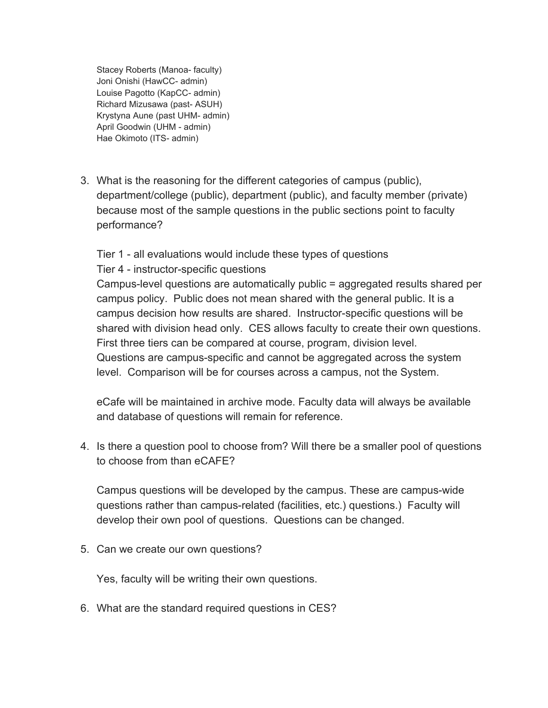Stacey Roberts (Manoa- faculty) Joni Onishi (HawCC- admin) Louise Pagotto (KapCC- admin) Richard Mizusawa (past- ASUH) Krystyna Aune (past UHM- admin) April Goodwin (UHM - admin) Hae Okimoto (ITS- admin)

3. What is the reasoning for the different categories of campus (public), department/college (public), department (public), and faculty member (private) because most of the sample questions in the public sections point to faculty performance?

Tier 1 - all evaluations would include these types of questions Tier 4 - instructor-specific questions

Campus-level questions are automatically public = aggregated results shared per campus policy. Public does not mean shared with the general public. It is a campus decision how results are shared. Instructor-specific questions will be shared with division head only. CES allows faculty to create their own questions. First three tiers can be compared at course, program, division level. Questions are campus-specific and cannot be aggregated across the system level. Comparison will be for courses across a campus, not the System.

eCafe will be maintained in archive mode. Faculty data will always be available and database of questions will remain for reference.

4. Is there a question pool to choose from? Will there be a smaller pool of questions to choose from than eCAFE?

Campus questions will be developed by the campus. These are campus-wide questions rather than campus-related (facilities, etc.) questions.) Faculty will develop their own pool of questions. Questions can be changed.

5. Can we create our own questions?

Yes, faculty will be writing their own questions.

6. What are the standard required questions in CES?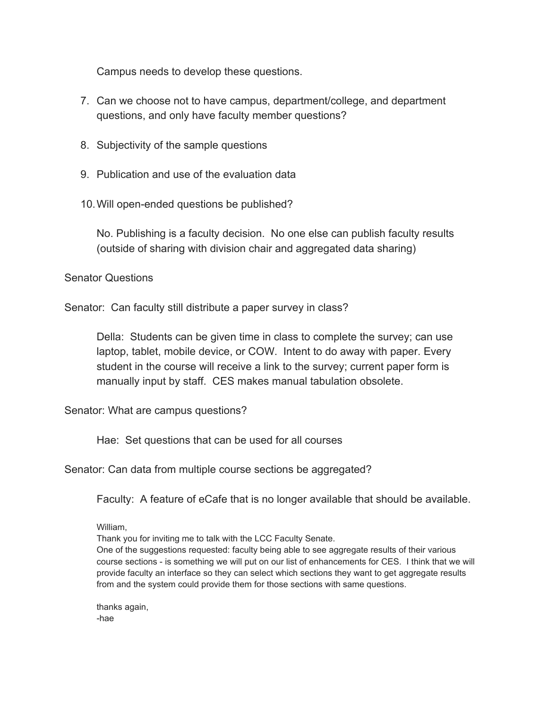Campus needs to develop these questions.

- 7. Can we choose not to have campus, department/college, and department questions, and only have faculty member questions?
- 8. Subjectivity of the sample questions
- 9. Publication and use of the evaluation data
- 10.Will open-ended questions be published?

No. Publishing is a faculty decision. No one else can publish faculty results (outside of sharing with division chair and aggregated data sharing)

## Senator Questions

Senator: Can faculty still distribute a paper survey in class?

Della: Students can be given time in class to complete the survey; can use laptop, tablet, mobile device, or COW. Intent to do away with paper. Every student in the course will receive a link to the survey; current paper form is manually input by staff. CES makes manual tabulation obsolete.

Senator: What are campus questions?

Hae: Set questions that can be used for all courses

Senator: Can data from multiple course sections be aggregated?

Faculty: A feature of eCafe that is no longer available that should be available.

William,

Thank you for inviting me to talk with the LCC Faculty Senate.

One of the suggestions requested: faculty being able to see aggregate results of their various course sections - is something we will put on our list of enhancements for CES. I think that we will provide faculty an interface so they can select which sections they want to get aggregate results from and the system could provide them for those sections with same questions.

thanks again, -hae